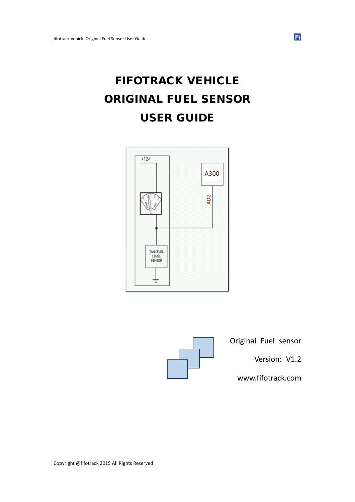# FIFOTRACK VEHICLE ORIGINAL FUEL SENSOR USER GUIDE





Original Fuel sensor

Version: V1.2

www.fifotrack.com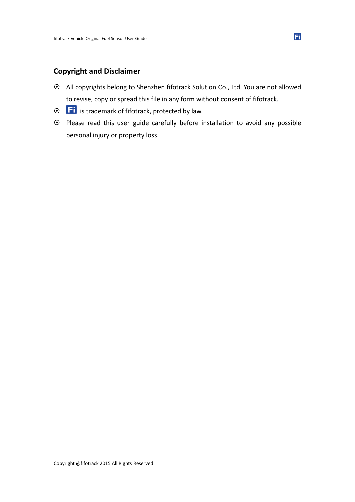### **Copyright and Disclaimer**

- All copyrights belong to Shenzhen fifotrack Solution Co., Ltd. You are not allowed to revise, copy or spread this file in any form without consent of fifotrack.
- $\odot$   $\Box$  is trademark of fifotrack, protected by law.
- Please read this user guide carefully before installation to avoid any possible personal injury or property loss.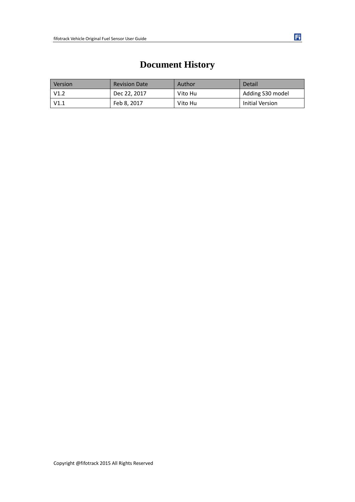| <b>Version</b> | <b>Revision Date</b> | Author  | Detail           |
|----------------|----------------------|---------|------------------|
| V1.2           | Dec 22, 2017         | Vito Hu | Adding S30 model |
| V1.1           | Feb 8, 2017          | Vito Hu | Initial Version  |

# **Document History**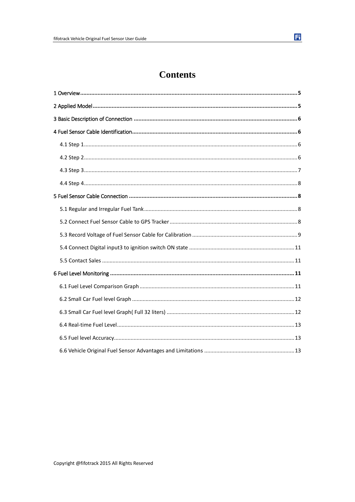# **Contents**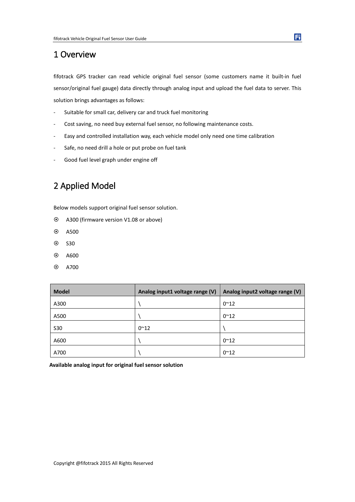### <span id="page-4-0"></span>1 Overview

fifotrack GPS tracker can read vehicle original fuel sensor (some customers name it built-in fuel sensor/original fuel gauge) data directly through analog input and upload the fuel data to server. This solution brings advantages as follows:

- Suitable for small car, delivery car and truck fuel monitoring
- Cost saving, no need buy external fuel sensor, no following maintenance costs.
- Easy and controlled installation way, each vehicle model only need one time calibration
- Safe, no need drill a hole or put probe on fuel tank
- <span id="page-4-1"></span>- Good fuel level graph under engine off

# 2 Applied Model

Below models support original fuel sensor solution.

- A300 (firmware version V1.08 or above)
- A500
- $\odot$  S30
- $\odot$  A600
- A700

| <b>Model</b> | Analog input1 voltage range (V) | Analog input2 voltage range (V) |
|--------------|---------------------------------|---------------------------------|
| A300         |                                 | $0^{\sim}12$                    |
| A500         |                                 | $0^{\sim}12$                    |
| <b>S30</b>   | $0^{\sim}12$                    |                                 |
| A600         |                                 | $0^{\sim}12$                    |
| A700         |                                 | $0^{\sim}12$                    |

**Available analog input for original fuel sensor solution**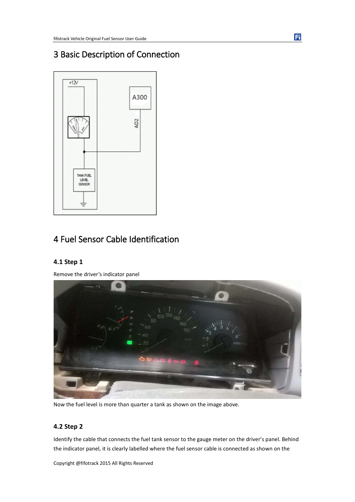# <span id="page-5-0"></span>3 Basic Description of Connection



# <span id="page-5-1"></span>4 Fuel Sensor Cable Identification

#### <span id="page-5-2"></span>**4.1 Step 1**

Remove the driver's indicator panel



Now the fuel level is more than quarter a tank as shown on the image above.

#### <span id="page-5-3"></span>**4.2 Step 2**

Identify the cable that connects the fuel tank sensor to the gauge meter on the driver's panel. Behind the indicator panel, it is clearly labelled where the fuel sensor cable is connected as shown on the

Copyright @fifotrack 2015 All Rights Reserved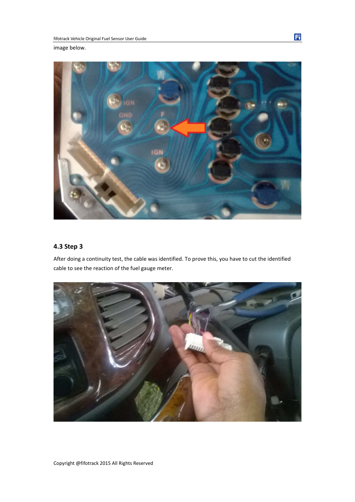image below.



#### <span id="page-6-0"></span>**4.3 Step 3**

After doing a continuity test, the cable was identified. To prove this, you have to cut the identified cable to see the reaction of the fuel gauge meter.

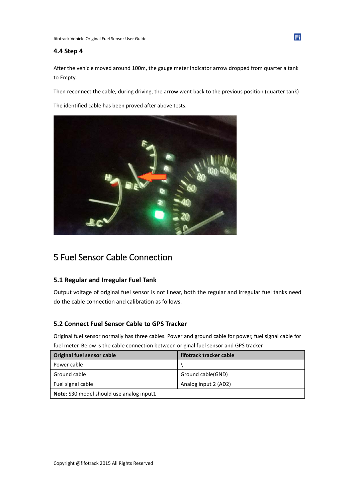#### <span id="page-7-0"></span>**4.4 Step 4**

After the vehicle moved around 100m, the gauge meter indicator arrow dropped from quarter a tank to Empty.

Then reconnect the cable, during driving, the arrow went back to the previous position (quarter tank)

The identified cable has been proved after above tests.



# <span id="page-7-1"></span>5 Fuel Sensor Cable Connection

#### <span id="page-7-2"></span>**5.1 Regular and Irregular Fuel Tank**

Output voltage of original fuel sensor is not linear, both the regular and irregular fuel tanks need do the cable connection and calibration as follows.

#### <span id="page-7-3"></span>**5.2 Connect Fuel Sensor Cable to GPS Tracker**

Original fuel sensor normally has three cables. Power and ground cable for power, fuel signal cable for fuel meter. Below is the cable connection between original fuel sensor and GPS tracker.

| Original fuel sensor cable                      | fifotrack tracker cable |
|-------------------------------------------------|-------------------------|
| Power cable                                     |                         |
| Ground cable                                    | Ground cable(GND)       |
| Fuel signal cable                               | Analog input 2 (AD2)    |
| <b>Note:</b> S30 model should use analog input1 |                         |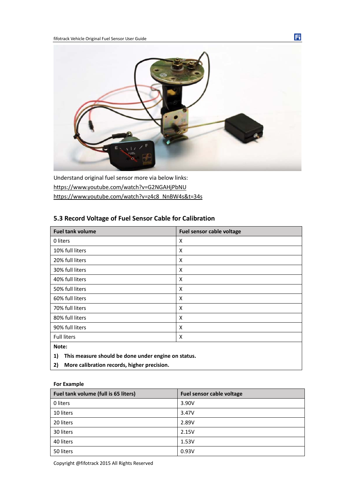

Understand original fuel sensor more via below links: <https://www.youtube.com/watch?v=G2NGAHjPbNU> [https://www.youtube.com/watch?v=z4c8\\_NnBW4s&t=34s](https://www.youtube.com/watch?v=z4c8_NnBW4s&t=34s)

#### <span id="page-8-0"></span>**5.3 Record Voltage of Fuel Sensor Cable for Calibration**

| X                         |
|---------------------------|
| X                         |
| $\boldsymbol{\mathsf{x}}$ |
| X                         |
| X                         |
| X                         |
| $\boldsymbol{\mathsf{x}}$ |
| X                         |
| X                         |
| X                         |
| X                         |
|                           |
|                           |

- **1) This measure should be done under engine on status.**
- **2) More calibration records, higher precision.**

#### **For Example**

| Fuel tank volume (full is 65 liters) | Fuel sensor cable voltage |
|--------------------------------------|---------------------------|
| 0 liters                             | 3.90V                     |
| 10 liters                            | 3.47V                     |
| 20 liters                            | 2.89V                     |
| 30 liters                            | 2.15V                     |
| 40 liters                            | 1.53V                     |
| 50 liters                            | 0.93V                     |

Copyright @fifotrack 2015 All Rights Reserved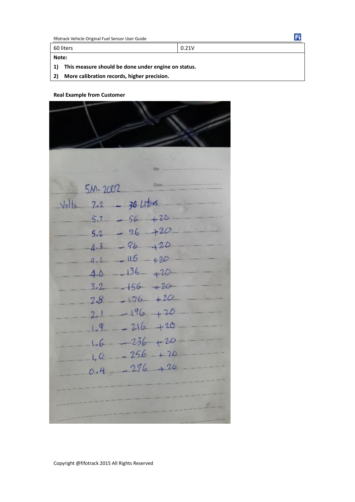**Note:**

60 liters 0.21V

**1) This measure should be done under engine on status.** 

**2) More calibration records, higher precision.**

**Real Example from Customer** 

|         |             |               | No          |  |
|---------|-------------|---------------|-------------|--|
|         |             |               |             |  |
|         | $5M - 2002$ |               |             |  |
| $ v_0 $ | 7.2         | $-$ 36 Liters |             |  |
|         | 5.7         | $-56$         | $+20$       |  |
|         | 5.2         | $-76$         | $+20$       |  |
|         | 4.3         | $-96-$        | $-120$      |  |
|         | 4.1         | $-116 - 20$   |             |  |
|         | 4.0         | $-136 - 120$  |             |  |
|         | 3.2         | $-156 + 20$   |             |  |
|         | 28          | $-176 + 20$   |             |  |
|         | 2.1         | $-196 + 20$   |             |  |
|         | 1.9         | $-216$        | $+20$       |  |
|         | 1.6         |               | $-236 + 20$ |  |
|         | 40          | $-256$        | $+20$       |  |
|         |             | 276           | .96         |  |
|         |             |               |             |  |
|         |             |               |             |  |
|         |             |               |             |  |
|         |             |               |             |  |

Ei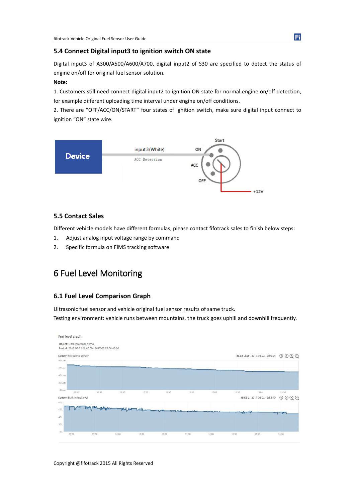#### <span id="page-10-0"></span>**5.4 Connect Digital input3 to ignition switch ON state**

Digital input3 of A300/A500/A600/A700, digital input2 of S30 are specified to detect the status of engine on/off for original fuel sensor solution.

#### **Note:**

1. Customers still need connect digital input2 to ignition ON state for normal engine on/off detection, for example different uploading time interval under engine on/off conditions.

2. There are "OFF/ACC/ON/START" four states of Ignition switch, make sure digital input connect to ignition "ON" state wire.



#### <span id="page-10-1"></span>**5.5 Contact Sales**

Different vehicle models have different formulas, please contact fifotrack sales to finish below steps:

- 1. Adjust analog input voltage range by command
- <span id="page-10-2"></span>2. Specific formula on FIMS tracking software

# 6 Fuel Level Monitoring

#### <span id="page-10-3"></span>**6.1 Fuel Level Comparison Graph**

Ultrasonic fuel sensor and vehicle original fuel sensor results of same truck.

Testing environment: vehicle runs between mountains, the truck goes uphill and downhill frequently.

| Fuel level graph                    |                                                   |       |       |                   |       |       |       |                                   |                                       |
|-------------------------------------|---------------------------------------------------|-------|-------|-------------------|-------|-------|-------|-----------------------------------|---------------------------------------|
| Object: Ultrasonic fuel_demo        |                                                   |       |       |                   |       |       |       |                                   |                                       |
|                                     | Period: 2017-02-22 00:00:00 - 2017-02-23 00:00:00 |       |       |                   |       |       |       |                                   |                                       |
| Sensor: Ultrasonic sensor           |                                                   |       |       |                   |       |       |       | 48.83 Liter - 2017-02-22 13:50:24 | O O Q Q                               |
| 80 Liter                            |                                                   |       |       |                   |       |       |       |                                   |                                       |
| 60 Liter                            |                                                   |       |       |                   |       |       |       |                                   |                                       |
|                                     |                                                   |       |       |                   |       |       |       |                                   |                                       |
| 40 Liter                            |                                                   |       |       |                   |       |       |       |                                   |                                       |
| 20 Liter                            |                                                   |       |       |                   |       |       |       |                                   |                                       |
| 0 Liter                             |                                                   |       |       |                   |       |       |       |                                   |                                       |
| 09:00                               | 09:30                                             | 10:00 | 10:30 | 11:00             | 11:30 | 12:00 | 12:30 | 13:00                             | 13:30                                 |
| Sensor: Built-in fuel level<br>80 L |                                                   |       |       |                   |       |       |       | 48.58 L - 2017-02-22 13:53:40     | ⊙<br>$\mathord{\textcircled{a}}$<br>O |
|                                     |                                                   |       |       |                   |       |       |       |                                   |                                       |
| 60 L                                |                                                   |       |       | <b>MANUEL ANN</b> |       |       |       |                                   |                                       |
| 40 L                                |                                                   |       |       |                   |       |       |       |                                   |                                       |
| 201                                 |                                                   |       |       |                   |       |       |       |                                   |                                       |
|                                     |                                                   |       |       |                   |       |       |       |                                   |                                       |
| 01                                  |                                                   |       |       |                   |       |       |       |                                   |                                       |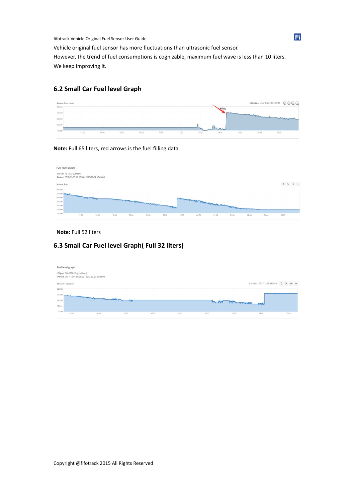fifotrack Vehicle Original Fuel Sensor User Guide

Vehicle original fuel sensor has more fluctuations than ultrasonic fuel sensor. However, the trend of fuel consumptions is cognizable, maximum fuel wave is less than 10 liters. We keep improving it.

#### <span id="page-11-0"></span>**6.2 Small Car Fuel level Graph**

| Sensor: Fuel Level |       |       |       |       |       |       |       |       |       |        | 36.06 Liter - 2017-02-22 23:39:52 © ② ② ② |
|--------------------|-------|-------|-------|-------|-------|-------|-------|-------|-------|--------|-------------------------------------------|
| 00 Liter           |       |       |       |       |       |       |       |       |       |        |                                           |
| 40 Univ            |       |       |       |       |       |       |       |       |       |        | mund                                      |
| :40 Utar           |       |       |       |       |       |       |       |       |       |        |                                           |
| zoune              |       |       |       |       |       |       |       |       |       |        |                                           |
| O Liter            |       | 04:00 | 06:00 |       | 10:00 | 12,00 | 14:00 | 16:00 | 18.00 | .20:00 |                                           |
|                    | 02.00 |       |       | 08:00 |       |       |       |       |       |        | 22.00                                     |

**Note:** Full 65 liters, red arrows is the fuel filling data.

| Fuel level graph                                                              |        |       |                                                                                                                    |       |       |       |       |       |                                             |       |       |       |       |
|-------------------------------------------------------------------------------|--------|-------|--------------------------------------------------------------------------------------------------------------------|-------|-------|-------|-------|-------|---------------------------------------------|-------|-------|-------|-------|
| Object: 78-7422 (Canter)<br>Period: 2018-01-03 16:00:00 - 2018-01-04 06:00:00 |        |       |                                                                                                                    |       |       |       |       |       |                                             |       |       |       |       |
| Sensor: Fuel                                                                  |        |       |                                                                                                                    |       |       |       |       |       |                                             |       |       |       |       |
| 60 Liberal                                                                    |        |       |                                                                                                                    |       |       |       |       |       |                                             |       |       |       |       |
| 10 Litera per Medical Andrew Production                                       |        |       |                                                                                                                    |       |       |       |       |       |                                             |       |       |       |       |
| 40 Litera                                                                     |        |       |                                                                                                                    |       |       |       |       |       | Linning at allege hopped to come a the some |       |       |       |       |
| 30 Liters                                                                     |        |       | of the local development of the company of the company of the company of the company of the company of the company |       |       |       |       |       |                                             |       |       |       |       |
| 20 Liners                                                                     |        |       |                                                                                                                    |       |       |       |       |       |                                             |       |       |       |       |
| 10 Liters                                                                     |        |       |                                                                                                                    |       |       |       |       |       |                                             |       |       |       |       |
| O Litera                                                                      | 12:00. | 18:00 | 19:00                                                                                                              | 30:00 | 21:00 | 22:00 | 28:00 | 00:00 | 01:00                                       | 02:00 | 03:00 | 04:00 | 05:00 |

#### **Note:** Full 52 liters

#### <span id="page-11-1"></span>**6.3 Small Car Fuel level Graph( Full 32 liters)**

| Fuel level graph   |                                                                                             |                                                   |       |       |       |       |               |                                         |       |
|--------------------|---------------------------------------------------------------------------------------------|---------------------------------------------------|-------|-------|-------|-------|---------------|-----------------------------------------|-------|
|                    | Object: 5M-1598 (Original Fuel)                                                             | Period: 2017-12-01 00:00:00 - 2017-12-24 00:00:00 |       |       |       |       |               |                                         |       |
| Sensor: Fuel Level |                                                                                             |                                                   |       |       |       |       |               | 14.16 Liter - 2017-12-05 16:24:41 < > + |       |
| 40 Line            |                                                                                             |                                                   |       |       |       |       |               |                                         |       |
| 30 Liter           | and the first party of the local division in which the first party is the local division of |                                                   |       |       |       |       |               |                                         |       |
| 20 Dosf            |                                                                                             |                                                   |       |       |       |       |               |                                         |       |
| 10 Uper            |                                                                                             |                                                   |       |       |       |       | how norman my |                                         |       |
| 0 Liter            | 12:00                                                                                       | 1600                                              | 20.00 | 00:00 | 04:00 | 08:00 | 12:00         | 16:00                                   | 20.00 |

#### Ei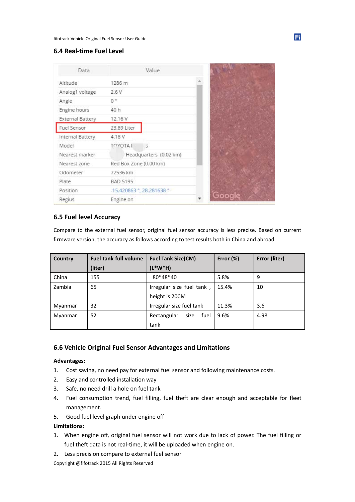#### <span id="page-12-0"></span>**6.4 Real-time Fuel Level**

| Data             |                        | Value                                          |  |
|------------------|------------------------|------------------------------------------------|--|
| Altitude         | 1286 m                 |                                                |  |
| Analog1 voltage  | 2.6V                   |                                                |  |
| Angle            | 0 <sup>o</sup>         |                                                |  |
| Engine hours     | 40 h                   |                                                |  |
| External Battery | 12.16 V                |                                                |  |
| Fuel Sensor      | 23.89 Liter            |                                                |  |
| Internal Battery | 4.18 V                 |                                                |  |
| Model            | <b>TOYOTA1</b>         | 5                                              |  |
| Nearest marker   |                        | Headquarters (0.02 km)                         |  |
| Nearest zone     | Red Box Zone (0.00 km) |                                                |  |
| Odometer         | 72536 km               |                                                |  |
| Plate            | BAD 5195               |                                                |  |
| Position         |                        | $-15.420863$ $^{\circ}$ , 28.281638 $^{\circ}$ |  |
| Regius           | Engine on              |                                                |  |

#### <span id="page-12-1"></span>**6.5 Fuel level Accuracy**

Compare to the external fuel sensor, original fuel sensor accuracy is less precise. Based on current firmware version, the accuracy as follows according to test results both in China and abroad.

| Country | <b>Fuel tank full volume</b> | <b>Fuel Tank Size(CM)</b>   | Error (%) | Error (liter) |
|---------|------------------------------|-----------------------------|-----------|---------------|
|         | (liter)                      | $(L*W*H)$                   |           |               |
| China   | 155                          | 80*48*40                    | 5.8%      | 9             |
| Zambia  | 65                           | Irregular size fuel tank,   | 15.4%     | 10            |
|         |                              | height is 20CM              |           |               |
| Myanmar | 32                           | Irregular size fuel tank    | 11.3%     | 3.6           |
| Myanmar | 52                           | size<br>Rectangular<br>fuel | 9.6%      | 4.98          |
|         |                              | tank                        |           |               |

#### <span id="page-12-2"></span>**6.6 Vehicle Original Fuel Sensor Advantages and Limitations**

#### **Advantages:**

- 1. Cost saving, no need pay for external fuel sensor and following maintenance costs.
- 2. Easy and controlled installation way
- 3. Safe, no need drill a hole on fuel tank
- 4. Fuel consumption trend, fuel filling, fuel theft are clear enough and acceptable for fleet management.
- 5. Good fuel level graph under engine off

#### **Limitations:**

- 1. When engine off, original fuel sensor will not work due to lack of power. The fuel filling or fuel theft data is not real-time, it will be uploaded when engine on.
- 2. Less precision compare to external fuel sensor

Copyright @fifotrack 2015 All Rights Reserved